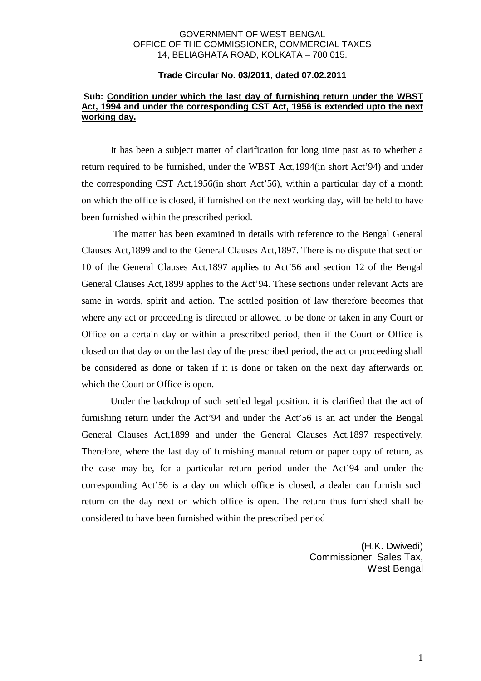## GOVERNMENT OF WEST BENGAL OFFICE OF THE COMMISSIONER, COMMERCIAL TAXES 14, BELIAGHATA ROAD, KOLKATA – 700 015.

## **Trade Circular No. 03/2011, dated 07.02.2011**

## **Sub: Condition under which the last day of furnishing return under the WBST Act, 1994 and under the corresponding CST Act, 1956 is extended upto the next working day.**

 It has been a subject matter of clarification for long time past as to whether a return required to be furnished, under the WBST Act,1994(in short Act'94) and under the corresponding CST Act,1956(in short Act'56), within a particular day of a month on which the office is closed, if furnished on the next working day, will be held to have been furnished within the prescribed period.

 The matter has been examined in details with reference to the Bengal General Clauses Act,1899 and to the General Clauses Act,1897. There is no dispute that section 10 of the General Clauses Act,1897 applies to Act'56 and section 12 of the Bengal General Clauses Act,1899 applies to the Act'94. These sections under relevant Acts are same in words, spirit and action. The settled position of law therefore becomes that where any act or proceeding is directed or allowed to be done or taken in any Court or Office on a certain day or within a prescribed period, then if the Court or Office is closed on that day or on the last day of the prescribed period, the act or proceeding shall be considered as done or taken if it is done or taken on the next day afterwards on which the Court or Office is open.

 Under the backdrop of such settled legal position, it is clarified that the act of furnishing return under the Act'94 and under the Act'56 is an act under the Bengal General Clauses Act,1899 and under the General Clauses Act,1897 respectively. Therefore, where the last day of furnishing manual return or paper copy of return, as the case may be, for a particular return period under the Act'94 and under the corresponding Act'56 is a day on which office is closed, a dealer can furnish such return on the day next on which office is open. The return thus furnished shall be considered to have been furnished within the prescribed period

> **(**H.K. Dwivedi) Commissioner, Sales Tax, West Bengal